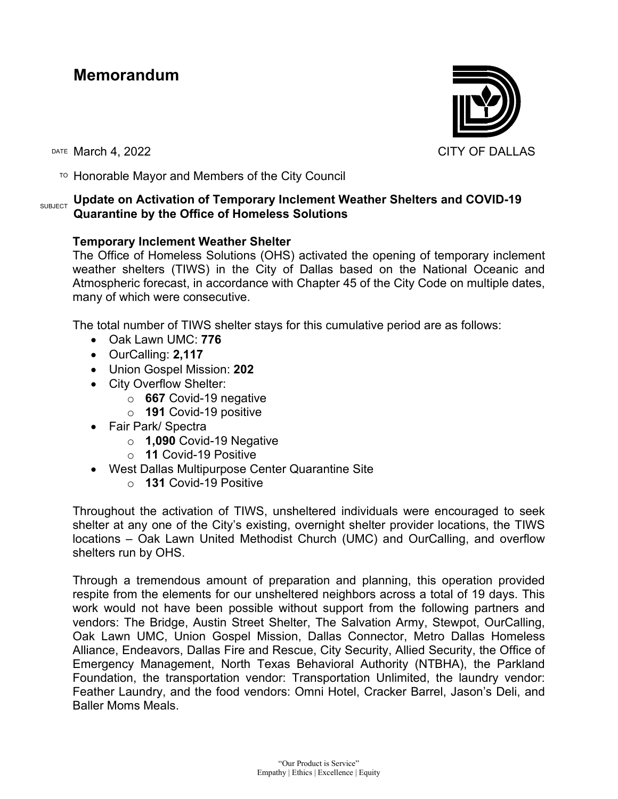## **Memorandum**



 $T$ <sup>O</sup> Honorable Mayor and Members of the City Council

## **SUBJECT Update on Activation of Temporary Inclement Weather Shelters and COVID-19 Quarantine by the Office of Homeless Solutions**

## **Temporary Inclement Weather Shelter**

The Office of Homeless Solutions (OHS) activated the opening of temporary inclement weather shelters (TIWS) in the City of Dallas based on the National Oceanic and Atmospheric forecast, in accordance with Chapter 45 of the City Code on multiple dates, many of which were consecutive.

The total number of TIWS shelter stays for this cumulative period are as follows:

- Oak Lawn UMC: **776**
- OurCalling: **2,117**
- Union Gospel Mission: **202**
- City Overflow Shelter:
	- o **667** Covid-19 negative
	- o **191** Covid-19 positive
- Fair Park/ Spectra
	- o **1,090** Covid-19 Negative
	- o **11** Covid-19 Positive
- West Dallas Multipurpose Center Quarantine Site
	- o **131** Covid-19 Positive

Throughout the activation of TIWS, unsheltered individuals were encouraged to seek shelter at any one of the City's existing, overnight shelter provider locations, the TIWS locations – Oak Lawn United Methodist Church (UMC) and OurCalling, and overflow shelters run by OHS.

Through a tremendous amount of preparation and planning, this operation provided respite from the elements for our unsheltered neighbors across a total of 19 days. This work would not have been possible without support from the following partners and vendors: The Bridge, Austin Street Shelter, The Salvation Army, Stewpot, OurCalling, Oak Lawn UMC, Union Gospel Mission, Dallas Connector, Metro Dallas Homeless Alliance, Endeavors, Dallas Fire and Rescue, City Security, Allied Security, the Office of Emergency Management, North Texas Behavioral Authority (NTBHA), the Parkland Foundation, the transportation vendor: Transportation Unlimited, the laundry vendor: Feather Laundry, and the food vendors: Omni Hotel, Cracker Barrel, Jason's Deli, and Baller Moms Meals.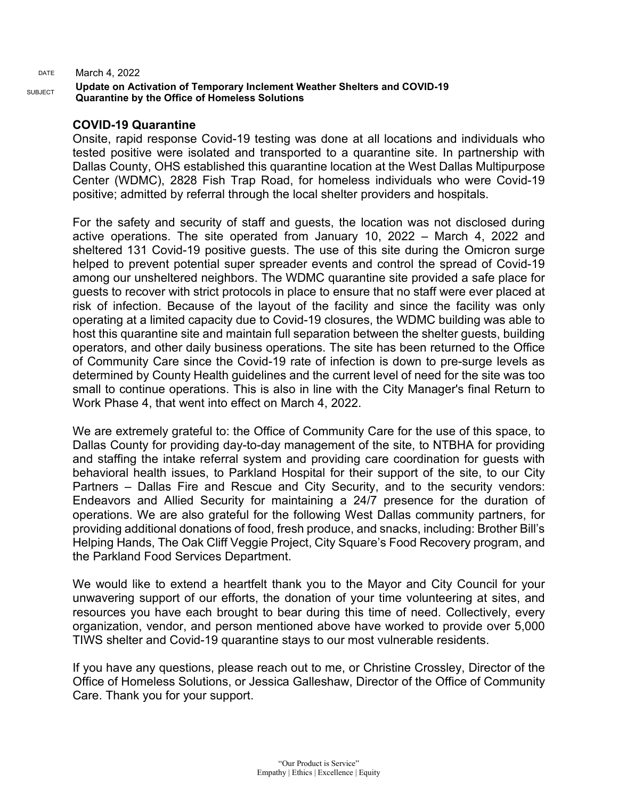DATE March 4, 2022

**Update on Activation of Temporary Inclement Weather Shelters and COVID-19 Quarantine by the Office of Homeless Solutions**

## **COVID-19 Quarantine**

Onsite, rapid response Covid-19 testing was done at all locations and individuals who tested positive were isolated and transported to a quarantine site. In partnership with Dallas County, OHS established this quarantine location at the West Dallas Multipurpose Center (WDMC), 2828 Fish Trap Road, for homeless individuals who were Covid-19 positive; admitted by referral through the local shelter providers and hospitals.

For the safety and security of staff and guests, the location was not disclosed during active operations. The site operated from January 10, 2022 – March 4, 2022 and sheltered 131 Covid-19 positive guests. The use of this site during the Omicron surge helped to prevent potential super spreader events and control the spread of Covid-19 among our unsheltered neighbors. The WDMC quarantine site provided a safe place for guests to recover with strict protocols in place to ensure that no staff were ever placed at risk of infection. Because of the layout of the facility and since the facility was only operating at a limited capacity due to Covid-19 closures, the WDMC building was able to host this quarantine site and maintain full separation between the shelter guests, building operators, and other daily business operations. The site has been returned to the Office of Community Care since the Covid-19 rate of infection is down to pre-surge levels as determined by County Health guidelines and the current level of need for the site was too small to continue operations. This is also in line with the City Manager's final Return to Work Phase 4, that went into effect on March 4, 2022.

We are extremely grateful to: the Office of Community Care for the use of this space, to Dallas County for providing day-to-day management of the site, to NTBHA for providing and staffing the intake referral system and providing care coordination for guests with behavioral health issues, to Parkland Hospital for their support of the site, to our City Partners – Dallas Fire and Rescue and City Security, and to the security vendors: Endeavors and Allied Security for maintaining a 24/7 presence for the duration of operations. We are also grateful for the following West Dallas community partners, for providing additional donations of food, fresh produce, and snacks, including: Brother Bill's Helping Hands, The Oak Cliff Veggie Project, City Square's Food Recovery program, and the Parkland Food Services Department.

We would like to extend a heartfelt thank you to the Mayor and City Council for your unwavering support of our efforts, the donation of your time volunteering at sites, and resources you have each brought to bear during this time of need. Collectively, every organization, vendor, and person mentioned above have worked to provide over 5,000 TIWS shelter and Covid-19 quarantine stays to our most vulnerable residents.

If you have any questions, please reach out to me, or Christine Crossley, Director of the Office of Homeless Solutions, or Jessica Galleshaw, Director of the Office of Community Care. Thank you for your support.